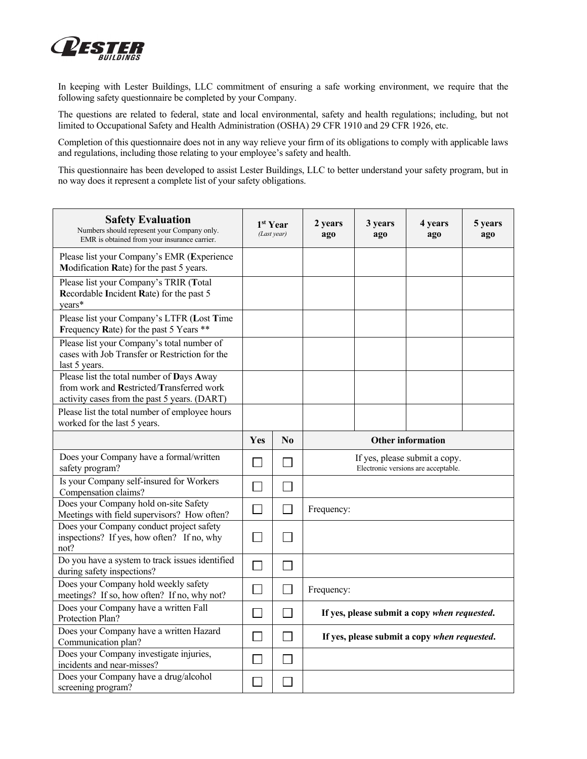

In keeping with Lester Buildings, LLC commitment of ensuring a safe working environment, we require that the following safety questionnaire be completed by your Company.

The questions are related to federal, state and local environmental, safety and health regulations; including, but not limited to Occupational Safety and Health Administration (OSHA) 29 CFR 1910 and 29 CFR 1926, etc.

Completion of this questionnaire does not in any way relieve your firm of its obligations to comply with applicable laws and regulations, including those relating to your employee's safety and health.

This questionnaire has been developed to assist Lester Buildings, LLC to better understand your safety program, but in no way does it represent a complete list of your safety obligations.

| <b>Safety Evaluation</b><br>Numbers should represent your Company only.<br>EMR is obtained from your insurance carrier.                | 1 <sup>st</sup> Year<br>(Last year) |                | 2 years<br>ago                                                       | 3 years<br>ago | 4 years<br>ago                               | 5 years<br>ago |  |
|----------------------------------------------------------------------------------------------------------------------------------------|-------------------------------------|----------------|----------------------------------------------------------------------|----------------|----------------------------------------------|----------------|--|
| Please list your Company's EMR (Experience<br>Modification Rate) for the past 5 years.                                                 |                                     |                |                                                                      |                |                                              |                |  |
| Please list your Company's TRIR (Total<br>Recordable Incident Rate) for the past 5<br>vears*                                           |                                     |                |                                                                      |                |                                              |                |  |
| Please list your Company's LTFR (Lost Time<br>Frequency Rate) for the past 5 Years **                                                  |                                     |                |                                                                      |                |                                              |                |  |
| Please list your Company's total number of<br>cases with Job Transfer or Restriction for the<br>last 5 years.                          |                                     |                |                                                                      |                |                                              |                |  |
| Please list the total number of Days Away<br>from work and Restricted/Transferred work<br>activity cases from the past 5 years. (DART) |                                     |                |                                                                      |                |                                              |                |  |
| Please list the total number of employee hours<br>worked for the last 5 years.                                                         |                                     |                |                                                                      |                |                                              |                |  |
|                                                                                                                                        | <b>Yes</b>                          | $\bf N_0$      | <b>Other information</b>                                             |                |                                              |                |  |
| Does your Company have a formal/written<br>safety program?                                                                             |                                     |                | If yes, please submit a copy.<br>Electronic versions are acceptable. |                |                                              |                |  |
| Is your Company self-insured for Workers<br>Compensation claims?                                                                       | $\sim$                              | $\blacksquare$ |                                                                      |                |                                              |                |  |
| Does your Company hold on-site Safety<br>Meetings with field supervisors? How often?                                                   | $\overline{\phantom{a}}$            | $\mathsf{L}$   | Frequency:                                                           |                |                                              |                |  |
| Does your Company conduct project safety<br>inspections? If yes, how often? If no, why<br>not?                                         |                                     | $\sim$         |                                                                      |                |                                              |                |  |
| Do you have a system to track issues identified<br>during safety inspections?                                                          |                                     |                |                                                                      |                |                                              |                |  |
| Does your Company hold weekly safety<br>meetings? If so, how often? If no, why not?                                                    | ×                                   |                | Frequency:                                                           |                |                                              |                |  |
| Does your Company have a written Fall<br>Protection Plan?                                                                              | ×                                   |                | If yes, please submit a copy when requested.                         |                |                                              |                |  |
| Does your Company have a written Hazard<br>Communication plan?                                                                         | $\mathcal{L}$                       |                |                                                                      |                | If yes, please submit a copy when requested. |                |  |
| Does your Company investigate injuries,<br>incidents and near-misses?                                                                  |                                     |                |                                                                      |                |                                              |                |  |
| Does your Company have a drug/alcohol<br>screening program?                                                                            |                                     |                |                                                                      |                |                                              |                |  |